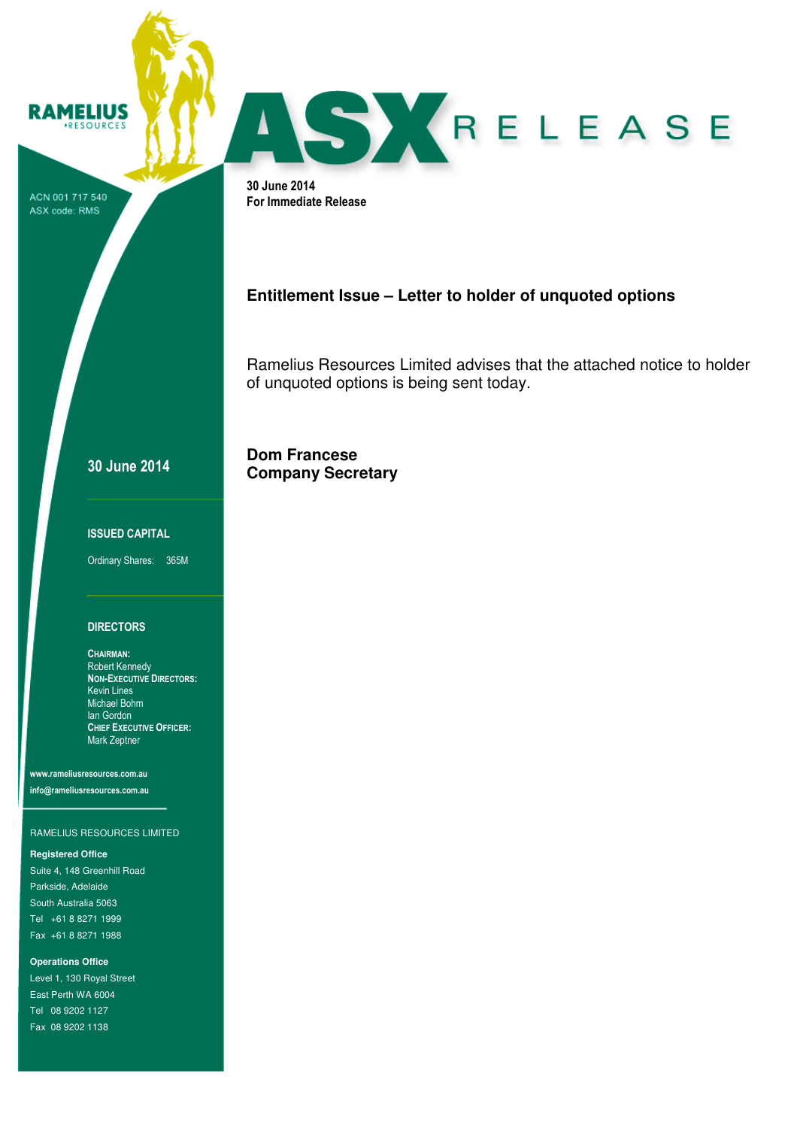ACN 001 717 540 ASX code: RMS

**RAMELIUS** RESOURCES



30 June 2014 For Immediate Release

## **Entitlement Issue – Letter to holder of unquoted options**

Ramelius Resources Limited advises that the attached notice to holder of unquoted options is being sent today.

**Dom Francese Company Secretary**

## 30 June 2014

#### ISSUED CAPITAL

Ordinary Shares: 365M

#### **DIRECTORS**

CHAIRMAN: Robert Kennedy NON-EXECUTIVE DIRECTORS: Kevin Lines Michael Bohm Ian Gordon CHIEF EXECUTIVE OFFICER: Mark Zeptner

www.rameliusresources.com.au info@rameliusresources.com.au

#### RAMELIUS RESOURCES LIMITED

#### **Registered Office**

Suite 4, 148 Greenhill Road Parkside, Adelaide South Australia 5063 Tel +61 8 8271 1999 Fax +61 8 8271 1988

**Operations Office** 

Level 1, 130 Royal Street East Perth WA 6004 Tel 08 9202 1127 Fax 08 9202 1138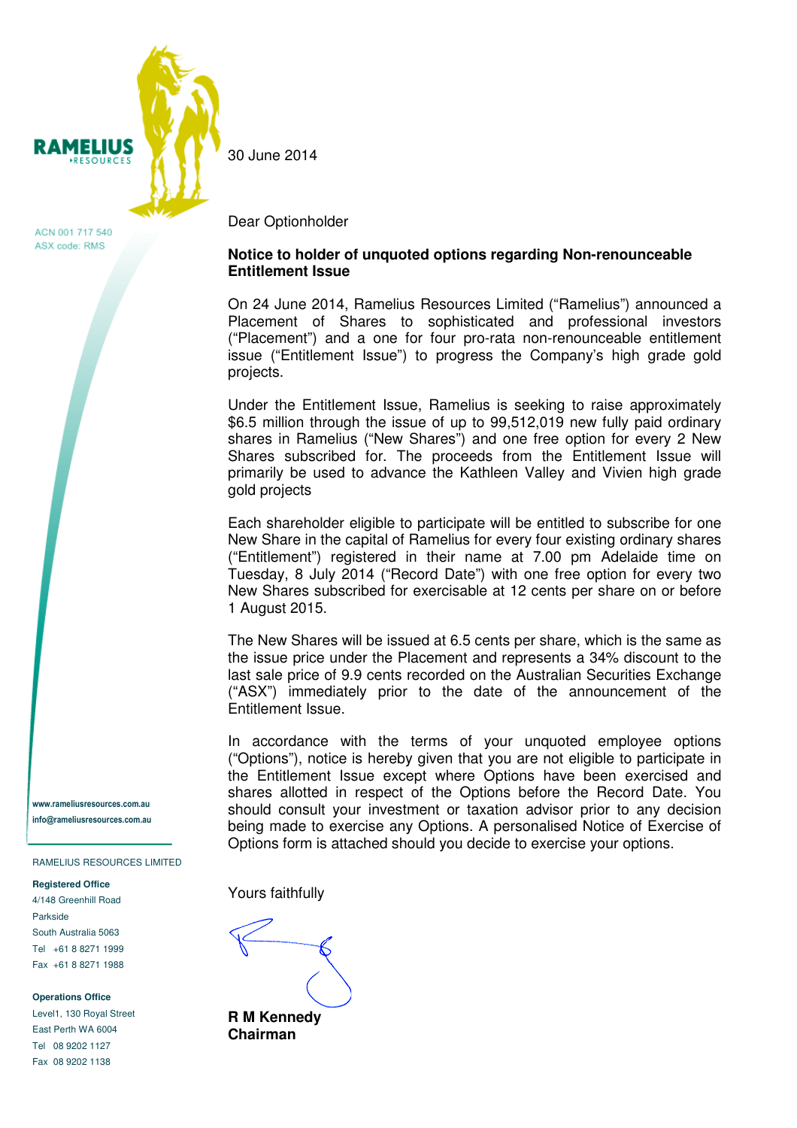

ACN 001 717 540 ASX code: RMS

www.rameliusresources.com.au info@rameliusresources.com.au

RAMELIUS RESOURCES LIMITED

#### **Registered Office**

4/148 Greenhill Road Parkside South Australia 5063 Tel +61 8 8271 1999 Fax +61 8 8271 1988

**Operations Office** 

Level1, 130 Royal Street East Perth WA 6004 Tel 08 9202 1127 Fax 08 9202 1138

30 June 2014

#### Dear Optionholder

## **Notice to holder of unquoted options regarding Non-renounceable Entitlement Issue**

On 24 June 2014, Ramelius Resources Limited ("Ramelius") announced a Placement of Shares to sophisticated and professional investors ("Placement") and a one for four pro-rata non-renounceable entitlement issue ("Entitlement Issue") to progress the Company's high grade gold projects.

Under the Entitlement Issue, Ramelius is seeking to raise approximately \$6.5 million through the issue of up to 99,512,019 new fully paid ordinary shares in Ramelius ("New Shares") and one free option for every 2 New Shares subscribed for. The proceeds from the Entitlement Issue will primarily be used to advance the Kathleen Valley and Vivien high grade gold projects

Each shareholder eligible to participate will be entitled to subscribe for one New Share in the capital of Ramelius for every four existing ordinary shares ("Entitlement") registered in their name at 7.00 pm Adelaide time on Tuesday, 8 July 2014 ("Record Date") with one free option for every two New Shares subscribed for exercisable at 12 cents per share on or before 1 August 2015.

The New Shares will be issued at 6.5 cents per share, which is the same as the issue price under the Placement and represents a 34% discount to the last sale price of 9.9 cents recorded on the Australian Securities Exchange ("ASX") immediately prior to the date of the announcement of the Entitlement Issue.

In accordance with the terms of your unquoted employee options ("Options"), notice is hereby given that you are not eligible to participate in the Entitlement Issue except where Options have been exercised and shares allotted in respect of the Options before the Record Date. You should consult your investment or taxation advisor prior to any decision being made to exercise any Options. A personalised Notice of Exercise of Options form is attached should you decide to exercise your options.

Yours faithfully

**R M Kennedy Chairman**